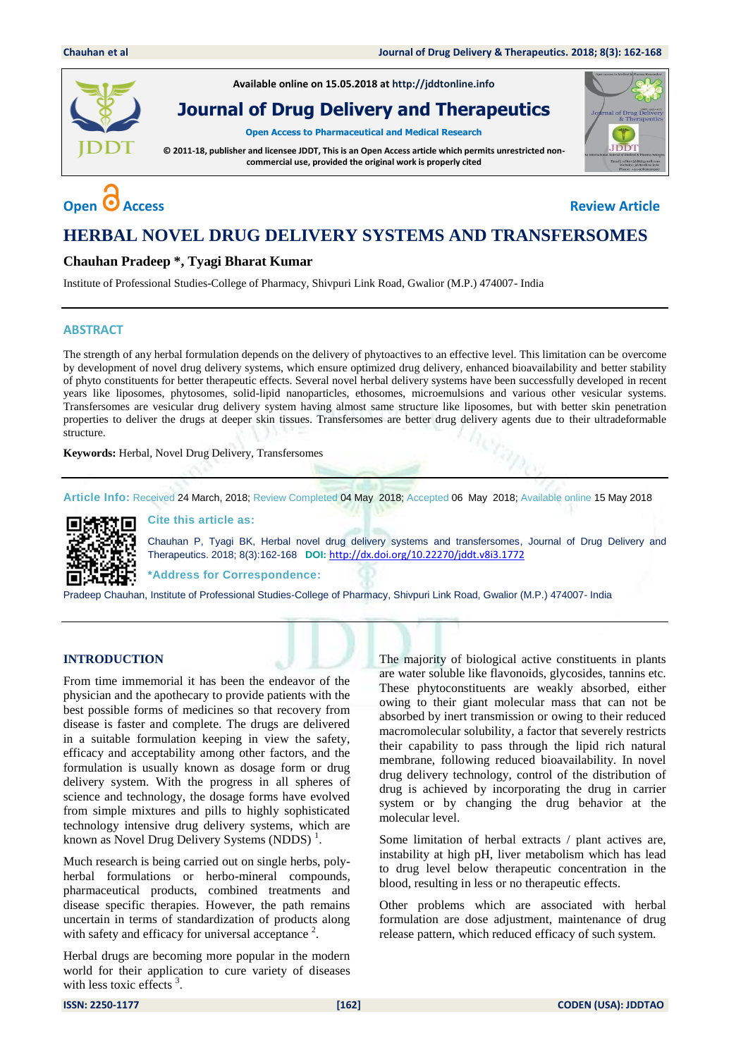

**Available online on 15.05.2018 at [http://jddtonline.info](http://jddtonline.info/)**

**Journal of Drug Delivery and Therapeutics**

**Open Access to Pharmaceutical and Medical Research**

**© 2011-18, publisher and licensee JDDT, This is an Open Access article which permits unrestricted noncommercial use, provided the original work is properly cited**



# **Open C** Access **Review** Article

## **HERBAL NOVEL DRUG DELIVERY SYSTEMS AND TRANSFERSOMES**

### **Chauhan Pradeep \*, Tyagi Bharat Kumar**

Institute of Professional Studies-College of Pharmacy, Shivpuri Link Road, Gwalior (M.P.) 474007- India

#### **ABSTRACT**

The strength of any herbal formulation depends on the delivery of phytoactives to an effective level. This limitation can be overcome by development of novel drug delivery systems, which ensure optimized drug delivery, enhanced bioavailability and better stability of phyto constituents for better therapeutic effects. Several novel herbal delivery systems have been successfully developed in recent years like liposomes, phytosomes, solid-lipid nanoparticles, ethosomes, microemulsions and various other vesicular systems. Transfersomes are vesicular drug delivery system having almost same structure like liposomes, but with better skin penetration properties to deliver the drugs at deeper skin tissues. Transfersomes are better drug delivery agents due to their ultradeformable structure.

**Keywords:** Herbal, Novel Drug Delivery, Transfersomes

**Article Info:** Received 24 March, 2018; Review Completed 04 May 2018; Accepted 06 May 2018; Available online 15 May 2018



**Cite this article as:**

Chauhan P, Tyagi BK, Herbal novel drug delivery systems and transfersomes, Journal of Drug Delivery and Therapeutics. 2018; 8(3):162-168 **DOI:** <http://dx.doi.org/10.22270/jddt.v8i3.1772>

**\*Address for Correspondence:** 

Pradeep Chauhan, Institute of Professional Studies-College of Pharmacy, Shivpuri Link Road, Gwalior (M.P.) 474007- India

#### **INTRODUCTION**

From time immemorial it has been the endeavor of the physician and the apothecary to provide patients with the best possible forms of medicines so that recovery from disease is faster and complete. The drugs are delivered in a suitable formulation keeping in view the safety, efficacy and acceptability among other factors, and the formulation is usually known as dosage form or drug delivery system. With the progress in all spheres of science and technology, the dosage forms have evolved from simple mixtures and pills to highly sophisticated technology intensive drug delivery systems, which are known as Novel Drug Delivery Systems (NDDS) $<sup>1</sup>$ .</sup>

Much research is being carried out on single herbs, polyherbal formulations or herbo-mineral compounds, pharmaceutical products, combined treatments and disease specific therapies. However, the path remains uncertain in terms of standardization of products along with safety and efficacy for universal acceptance  $2$ .

Herbal drugs are becoming more popular in the modern world for their application to cure variety of diseases with less toxic effects  $3$ .

The majority of biological active constituents in plants are water soluble like flavonoids, glycosides, tannins etc. These phytoconstituents are weakly absorbed, either owing to their giant molecular mass that can not be absorbed by inert transmission or owing to their reduced macromolecular solubility, a factor that severely restricts their capability to pass through the lipid rich natural membrane, following reduced bioavailability. In novel drug delivery technology, control of the distribution of drug is achieved by incorporating the drug in carrier system or by changing the drug behavior at the molecular level.

Some limitation of herbal extracts / plant actives are, instability at high pH, liver metabolism which has lead to drug level below therapeutic concentration in the blood, resulting in less or no therapeutic effects.

Other problems which are associated with herbal formulation are dose adjustment, maintenance of drug release pattern, which reduced efficacy of such system.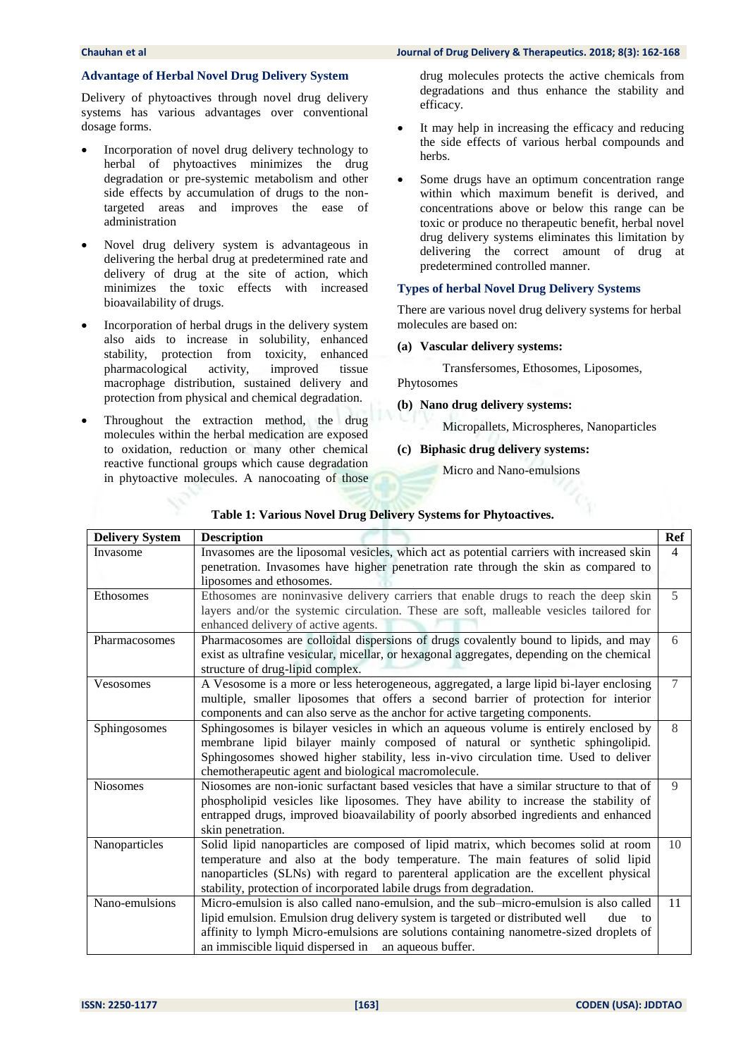#### **Advantage of Herbal Novel Drug Delivery System**

Delivery of phytoactives through novel drug delivery systems has various advantages over conventional dosage forms.

- Incorporation of novel drug delivery technology to herbal of phytoactives minimizes the drug degradation or pre-systemic metabolism and other side effects by accumulation of drugs to the nontargeted areas and improves the ease of administration
- Novel drug delivery system is advantageous in delivering the herbal drug at predetermined rate and delivery of drug at the site of action, which minimizes the toxic effects with increased bioavailability of drugs.
- Incorporation of herbal drugs in the delivery system also aids to increase in solubility, enhanced stability, protection from toxicity, enhanced pharmacological activity, improved tissue macrophage distribution, sustained delivery and protection from physical and chemical degradation.
- Throughout the extraction method, the drug molecules within the herbal medication are exposed to oxidation, reduction or many other chemical reactive functional groups which cause degradation in phytoactive molecules. A nanocoating of those

#### **Chauhan et al Journal of Drug Delivery & Therapeutics. 2018; 8(3): 162-168**

drug molecules protects the active chemicals from degradations and thus enhance the stability and efficacy.

- It may help in increasing the efficacy and reducing the side effects of various herbal compounds and herbs.
- Some drugs have an optimum concentration range within which maximum benefit is derived, and concentrations above or below this range can be toxic or produce no therapeutic benefit, herbal novel drug delivery systems eliminates this limitation by delivering the correct amount of drug at predetermined controlled manner.

#### **Types of herbal Novel Drug Delivery Systems**

There are various novel drug delivery systems for herbal molecules are based on:

#### **(a) Vascular delivery systems:**

Transfersomes, Ethosomes, Liposomes, Phytosomes

**(b) Nano drug delivery systems:**

Micropallets, Microspheres, Nanoparticles

**(c) Biphasic drug delivery systems:**

Micro and Nano-emulsions

| <b>Delivery System</b> | <b>Description</b>                                                                                                                                                                                                                                                                                                                     | Ref            |
|------------------------|----------------------------------------------------------------------------------------------------------------------------------------------------------------------------------------------------------------------------------------------------------------------------------------------------------------------------------------|----------------|
| Invasome               | Invasomes are the liposomal vesicles, which act as potential carriers with increased skin<br>penetration. Invasomes have higher penetration rate through the skin as compared to<br>liposomes and ethosomes.                                                                                                                           | $\overline{4}$ |
| Ethosomes              | Ethosomes are noninvasive delivery carriers that enable drugs to reach the deep skin<br>layers and/or the systemic circulation. These are soft, malleable vesicles tailored for<br>enhanced delivery of active agents.                                                                                                                 | 5              |
| Pharmacosomes          | Pharmacosomes are colloidal dispersions of drugs covalently bound to lipids, and may<br>exist as ultrafine vesicular, micellar, or hexagonal aggregates, depending on the chemical<br>structure of drug-lipid complex.                                                                                                                 | 6              |
| Vesosomes              | A Vesosome is a more or less heterogeneous, aggregated, a large lipid bi-layer enclosing<br>multiple, smaller liposomes that offers a second barrier of protection for interior<br>components and can also serve as the anchor for active targeting components.                                                                        | $\overline{7}$ |
| Sphingosomes           | Sphingosomes is bilayer vesicles in which an aqueous volume is entirely enclosed by<br>membrane lipid bilayer mainly composed of natural or synthetic sphingolipid.<br>Sphingosomes showed higher stability, less in-vivo circulation time. Used to deliver<br>chemotherapeutic agent and biological macromolecule.                    | 8              |
| <b>Niosomes</b>        | Niosomes are non-ionic surfactant based vesicles that have a similar structure to that of<br>phospholipid vesicles like liposomes. They have ability to increase the stability of<br>entrapped drugs, improved bioavailability of poorly absorbed ingredients and enhanced<br>skin penetration.                                        | 9              |
| Nanoparticles          | Solid lipid nanoparticles are composed of lipid matrix, which becomes solid at room<br>temperature and also at the body temperature. The main features of solid lipid<br>nanoparticles (SLNs) with regard to parenteral application are the excellent physical<br>stability, protection of incorporated labile drugs from degradation. | 10             |
| Nano-emulsions         | Micro-emulsion is also called nano-emulsion, and the sub-micro-emulsion is also called<br>lipid emulsion. Emulsion drug delivery system is targeted or distributed well<br>due<br>to<br>affinity to lymph Micro-emulsions are solutions containing nanometre-sized droplets of<br>an immiscible liquid dispersed in an aqueous buffer. | 11             |

#### **Table 1: Various Novel Drug Delivery Systems for Phytoactives.**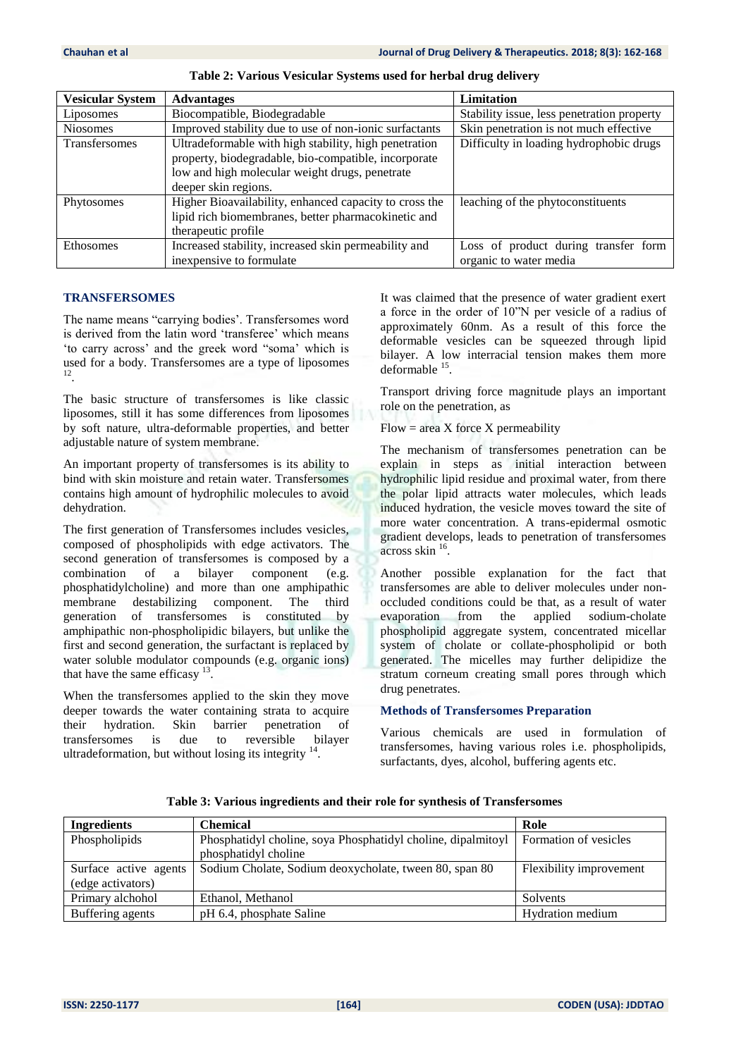| <b>Vesicular System</b> | <b>Advantages</b>                                      | <b>Limitation</b>                          |
|-------------------------|--------------------------------------------------------|--------------------------------------------|
| Liposomes               | Biocompatible, Biodegradable                           | Stability issue, less penetration property |
| <b>Niosomes</b>         | Improved stability due to use of non-ionic surfactants | Skin penetration is not much effective     |
| Transfersomes           | Ultradeformable with high stability, high penetration  | Difficulty in loading hydrophobic drugs    |
|                         | property, biodegradable, bio-compatible, incorporate   |                                            |
|                         | low and high molecular weight drugs, penetrate         |                                            |
|                         | deeper skin regions.                                   |                                            |
| Phytosomes              | Higher Bioavailability, enhanced capacity to cross the | leaching of the phytoconstituents          |
|                         | lipid rich biomembranes, better pharmacokinetic and    |                                            |
|                         | therapeutic profile                                    |                                            |
| Ethosomes               | Increased stability, increased skin permeability and   | Loss of product during transfer form       |
|                         | inexpensive to formulate                               | organic to water media                     |

**Table 2: Various Vesicular Systems used for herbal drug delivery**

### **TRANSFERSOMES**

The name means "carrying bodies'. Transfersomes word is derived from the latin word 'transferee' which means 'to carry across' and the greek word "soma' which is used for a body. Transfersomes are a type of liposomes 12 .

The basic structure of transfersomes is like classic liposomes, still it has some differences from liposomes by soft nature, ultra-deformable properties, and better adjustable nature of system membrane.

An important property of transfersomes is its ability to bind with skin moisture and retain water. Transfersomes contains high amount of hydrophilic molecules to avoid dehydration.

The first generation of Transfersomes includes vesicles, composed of phospholipids with edge activators. The second generation of transfersomes is composed by a combination of a bilayer component (e.g. phosphatidylcholine) and more than one amphipathic membrane destabilizing component. The third generation of transfersomes is constituted by amphipathic non-phospholipidic bilayers, but unlike the first and second generation, the surfactant is replaced by water soluble modulator compounds (e.g. organic ions) that have the same efficasy  $13$ .

When the transfersomes applied to the skin they move deeper towards the water containing strata to acquire their hydration. Skin barrier penetration of transfersomes is due to reversible bilayer ultradeformation, but without losing its integrity  $14$ .

It was claimed that the presence of water gradient exert a force in the order of 10"N per vesicle of a radius of approximately 60nm. As a result of this force the deformable vesicles can be squeezed through lipid bilayer. A low interracial tension makes them more deformable <sup>15</sup>.

Transport driving force magnitude plays an important role on the penetration, as

 $Flow = area X$  force  $X$  permeability

The mechanism of transfersomes penetration can be explain in steps as initial interaction between hydrophilic lipid residue and proximal water, from there the polar lipid attracts water molecules, which leads induced hydration, the vesicle moves toward the site of more water concentration. A trans-epidermal osmotic gradient develops, leads to penetration of transfersomes across skin <sup>16</sup> .

Another possible explanation for the fact that transfersomes are able to deliver molecules under nonoccluded conditions could be that, as a result of water evaporation from the applied sodium-cholate phospholipid aggregate system, concentrated micellar system of cholate or collate-phospholipid or both generated. The micelles may further delipidize the stratum corneum creating small pores through which drug penetrates.

#### **Methods of Transfersomes Preparation**

Various chemicals are used in formulation of transfersomes, having various roles i.e. phospholipids, surfactants, dyes, alcohol, buffering agents etc.

| <b>Ingredients</b>    | <b>Chemical</b>                                              | Role                    |
|-----------------------|--------------------------------------------------------------|-------------------------|
| Phospholipids         | Phosphatidyl choline, soya Phosphatidyl choline, dipalmitoyl | Formation of vesicles   |
|                       | phosphatidyl choline                                         |                         |
| Surface active agents | Sodium Cholate, Sodium deoxycholate, tween 80, span 80       | Flexibility improvement |
| (edge activators)     |                                                              |                         |
| Primary alchohol      | Ethanol, Methanol                                            | Solvents                |
| Buffering agents      | pH 6.4, phosphate Saline                                     | <b>Hydration</b> medium |

#### **Table 3: Various ingredients and their role for synthesis of Transfersomes**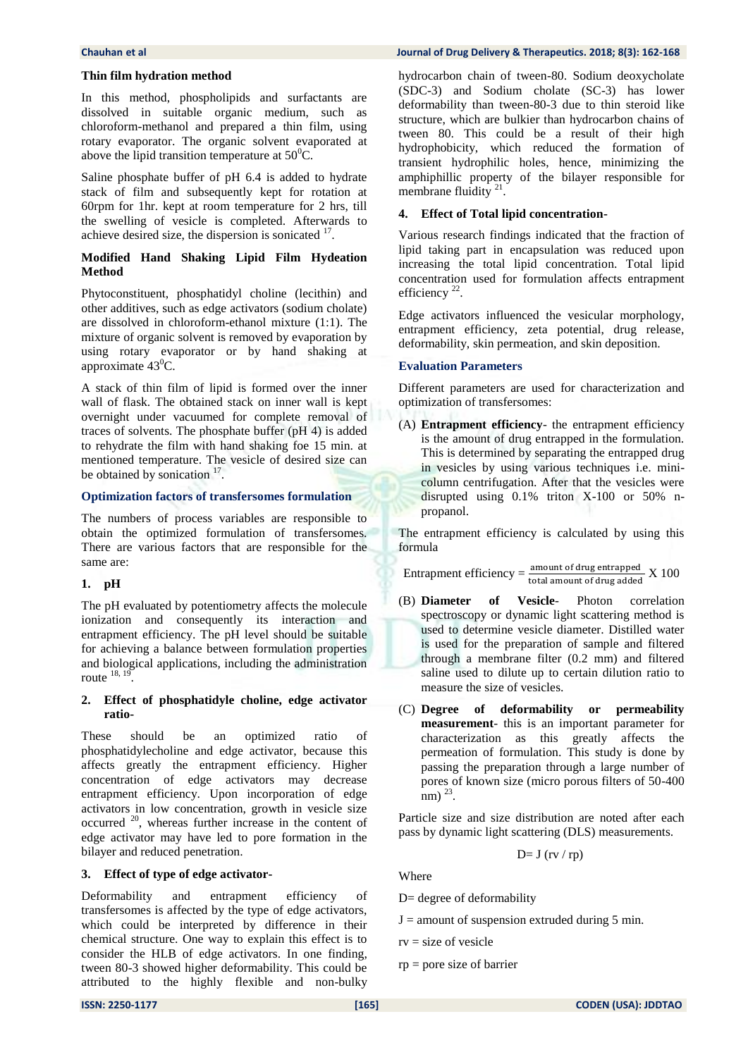#### **Thin film hydration method**

In this method, phospholipids and surfactants are dissolved in suitable organic medium, such as chloroform-methanol and prepared a thin film, using rotary evaporator. The organic solvent evaporated at above the lipid transition temperature at  $50^0$ C.

Saline phosphate buffer of pH 6.4 is added to hydrate stack of film and subsequently kept for rotation at 60rpm for 1hr. kept at room temperature for 2 hrs, till the swelling of vesicle is completed. Afterwards to achieve desired size, the dispersion is sonicated <sup>17</sup>.

#### **Modified Hand Shaking Lipid Film Hydeation Method**

Phytoconstituent, phosphatidyl choline (lecithin) and other additives, such as edge activators (sodium cholate) are dissolved in chloroform-ethanol mixture (1:1). The mixture of organic solvent is removed by evaporation by using rotary evaporator or by hand shaking at approximate  $43^{\circ}$ C.

A stack of thin film of lipid is formed over the inner wall of flask. The obtained stack on inner wall is kept overnight under vacuumed for complete removal of traces of solvents. The phosphate buffer (pH 4) is added to rehydrate the film with hand shaking foe 15 min. at mentioned temperature. The vesicle of desired size can be obtained by sonication  $17$ .

#### **Optimization factors of transfersomes formulation**

The numbers of process variables are responsible to obtain the optimized formulation of transfersomes. There are various factors that are responsible for the same are:

#### **1. pH**

The pH evaluated by potentiometry affects the molecule ionization and consequently its interaction and entrapment efficiency. The pH level should be suitable for achieving a balance between formulation properties and biological applications, including the administration route  $^{18, 19}$ .

#### **2. Effect of phosphatidyle choline, edge activator ratio-**

These should be an optimized ratio of phosphatidylecholine and edge activator, because this affects greatly the entrapment efficiency. Higher concentration of edge activators may decrease entrapment efficiency. Upon incorporation of edge activators in low concentration, growth in vesicle size occurred <sup>20</sup>, whereas further increase in the content of edge activator may have led to pore formation in the bilayer and reduced penetration.

#### **3. Effect of type of edge activator-**

Deformability and entrapment efficiency of transfersomes is affected by the type of edge activators, which could be interpreted by difference in their chemical structure. One way to explain this effect is to consider the HLB of edge activators. In one finding, tween 80-3 showed higher deformability. This could be attributed to the highly flexible and non-bulky

hydrocarbon chain of tween-80. Sodium deoxycholate (SDC-3) and Sodium cholate (SC-3) has lower deformability than tween-80-3 due to thin steroid like structure, which are bulkier than hydrocarbon chains of tween 80. This could be a result of their high hydrophobicity, which reduced the formation of transient hydrophilic holes, hence, minimizing the amphiphillic property of the bilayer responsible for membrane fluidity  $21$ .

#### **4. Effect of Total lipid concentration-**

Various research findings indicated that the fraction of lipid taking part in encapsulation was reduced upon increasing the total lipid concentration. Total lipid concentration used for formulation affects entrapment efficiency  $22$ .

Edge activators influenced the vesicular morphology, entrapment efficiency, zeta potential, drug release, deformability, skin permeation, and skin deposition.

#### **Evaluation Parameters**

Different parameters are used for characterization and optimization of transfersomes:

(A) **Entrapment efficiency**- the entrapment efficiency is the amount of drug entrapped in the formulation. This is determined by separating the entrapped drug in vesicles by using various techniques i.e. minicolumn centrifugation. After that the vesicles were disrupted using 0.1% triton X-100 or 50% npropanol.

The entrapment efficiency is calculated by using this formula

Entrapment efficiency  $=\frac{$  amount of drug entrapped  $X$  100

- (B) **Diameter of Vesicle** Photon correlation spectroscopy or dynamic light scattering method is used to determine vesicle diameter. Distilled water is used for the preparation of sample and filtered through a membrane filter (0.2 mm) and filtered saline used to dilute up to certain dilution ratio to measure the size of vesicles.
- (C) **Degree of deformability or permeability measurement**- this is an important parameter for characterization as this greatly affects the permeation of formulation. This study is done by passing the preparation through a large number of pores of known size (micro porous filters of 50-400  $\frac{1}{2}$  nm)  $^{23}$ .

Particle size and size distribution are noted after each pass by dynamic light scattering (DLS) measurements.

$$
D=J (rv/rp)
$$

Where

D= degree of deformability

- $J =$  amount of suspension extruded during 5 min.
- $rv = size of vesicle$
- rp = pore size of barrier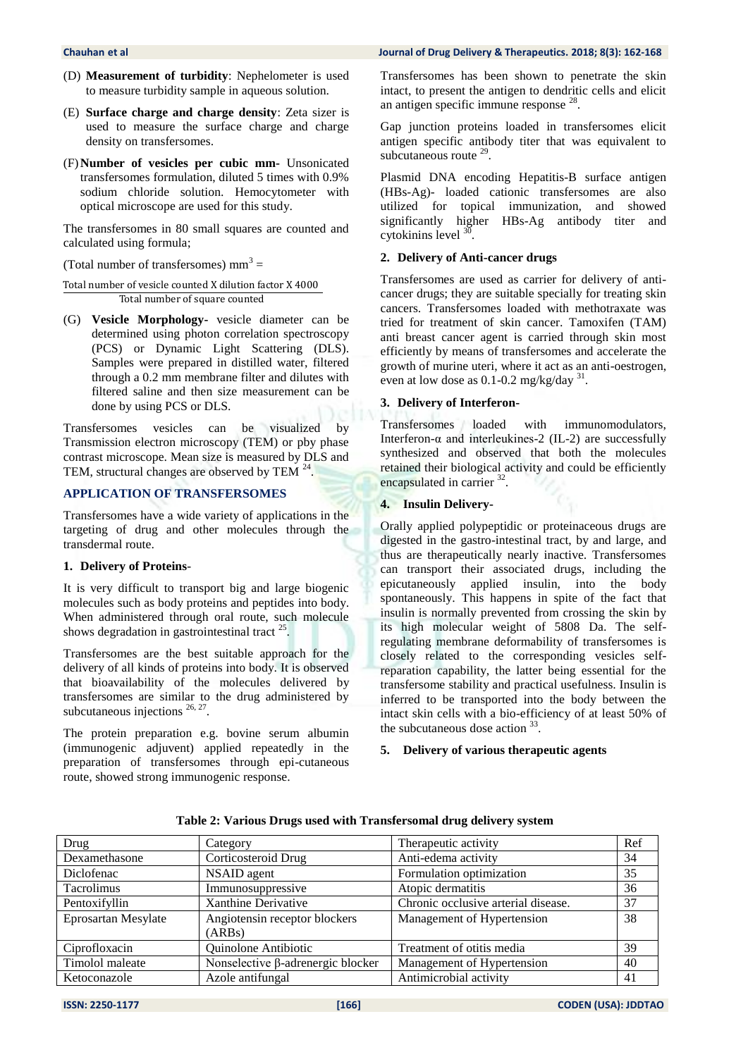- (D) **Measurement of turbidity**: Nephelometer is used to measure turbidity sample in aqueous solution.
- (E) **Surface charge and charge density**: Zeta sizer is used to measure the surface charge and charge density on transfersomes.
- (F)**Number of vesicles per cubic mm-** Unsonicated transfersomes formulation, diluted 5 times with 0.9% sodium chloride solution. Hemocytometer with optical microscope are used for this study.

The transfersomes in 80 small squares are counted and calculated using formula;

(Total number of transfersomes)  $mm<sup>3</sup> =$ 

Total number of vesicle counted X dilution factor X 4000 Total number of square counted

(G) **Vesicle Morphology-** vesicle diameter can be determined using photon correlation spectroscopy (PCS) or Dynamic Light Scattering (DLS). Samples were prepared in distilled water, filtered through a 0.2 mm membrane filter and dilutes with filtered saline and then size measurement can be done by using PCS or DLS.

Transfersomes vesicles can be visualized by Transmission electron microscopy (TEM) or pby phase contrast microscope. Mean size is measured by DLS and TEM, structural changes are observed by TEM  $^{24}$ .

#### **APPLICATION OF TRANSFERSOMES**

Transfersomes have a wide variety of applications in the targeting of drug and other molecules through the transdermal route.

#### **1. Delivery of Proteins**-

It is very difficult to transport big and large biogenic molecules such as body proteins and peptides into body. When administered through oral route, such molecule shows degradation in gastrointestinal tract  $25$ .

Transfersomes are the best suitable approach for the delivery of all kinds of proteins into body. It is observed that bioavailability of the molecules delivered by transfersomes are similar to the drug administered by subcutaneous injections  $26, 27$ .

The protein preparation e.g. bovine serum albumin (immunogenic adjuvent) applied repeatedly in the preparation of transfersomes through epi-cutaneous route, showed strong immunogenic response.

Transfersomes has been shown to penetrate the skin intact, to present the antigen to dendritic cells and elicit an antigen specific immune response <sup>28</sup>.

Gap junction proteins loaded in transfersomes elicit antigen specific antibody titer that was equivalent to subcutaneous route  $29$ .

Plasmid DNA encoding Hepatitis-B surface antigen (HBs-Ag)- loaded cationic transfersomes are also utilized for topical immunization, and showed significantly higher HBs-Ag antibody titer and cytokinins level  $30$ .

#### **2. Delivery of Anti-cancer drugs**

Transfersomes are used as carrier for delivery of anticancer drugs; they are suitable specially for treating skin cancers. Transfersomes loaded with methotraxate was tried for treatment of skin cancer. Tamoxifen (TAM) anti breast cancer agent is carried through skin most efficiently by means of transfersomes and accelerate the growth of murine uteri, where it act as an anti-oestrogen, even at low dose as  $0.1$ -0.2 mg/kg/day  $31$ .

#### **3. Delivery of Interferon-**

Transfersomes loaded with immunomodulators, Interferon-α and interleukines-2 (IL-2) are successfully synthesized and observed that both the molecules retained their biological activity and could be efficiently encapsulated in carrier <sup>32</sup>.

#### **4. Insulin Delivery-**

Orally applied polypeptidic or proteinaceous drugs are digested in the gastro-intestinal tract, by and large, and thus are therapeutically nearly inactive. Transfersomes can transport their associated drugs, including the epicutaneously applied insulin, into the body spontaneously. This happens in spite of the fact that insulin is normally prevented from crossing the skin by its high molecular weight of 5808 Da. The selfregulating membrane deformability of transfersomes is closely related to the corresponding vesicles selfreparation capability, the latter being essential for the transfersome stability and practical usefulness. Insulin is inferred to be transported into the body between the intact skin cells with a bio-efficiency of at least 50% of the subcutaneous dose action  $33$ .

#### **5. Delivery of various therapeutic agents**

| Drug                | Category                                 | Therapeutic activity                | Ref |
|---------------------|------------------------------------------|-------------------------------------|-----|
| Dexamethasone       | Corticosteroid Drug                      | Anti-edema activity                 | 34  |
| Diclofenac          | NSAID agent                              | Formulation optimization            | 35  |
| <b>Tacrolimus</b>   | Immunosuppressive                        | Atopic dermatitis                   | 36  |
| Pentoxifyllin       | Xanthine Derivative                      | Chronic occlusive arterial disease. | 37  |
| Eprosartan Mesylate | Angiotensin receptor blockers<br>(ARBs)  | Management of Hypertension          | 38  |
| Ciprofloxacin       | Quinolone Antibiotic                     | Treatment of otitis media           | 39  |
| Timolol maleate     | Nonselective $\beta$ -adrenergic blocker | Management of Hypertension          | 40  |
| Ketoconazole        | Azole antifungal                         | Antimicrobial activity              | 41  |

**Table 2: Various Drugs used with Transfersomal drug delivery system**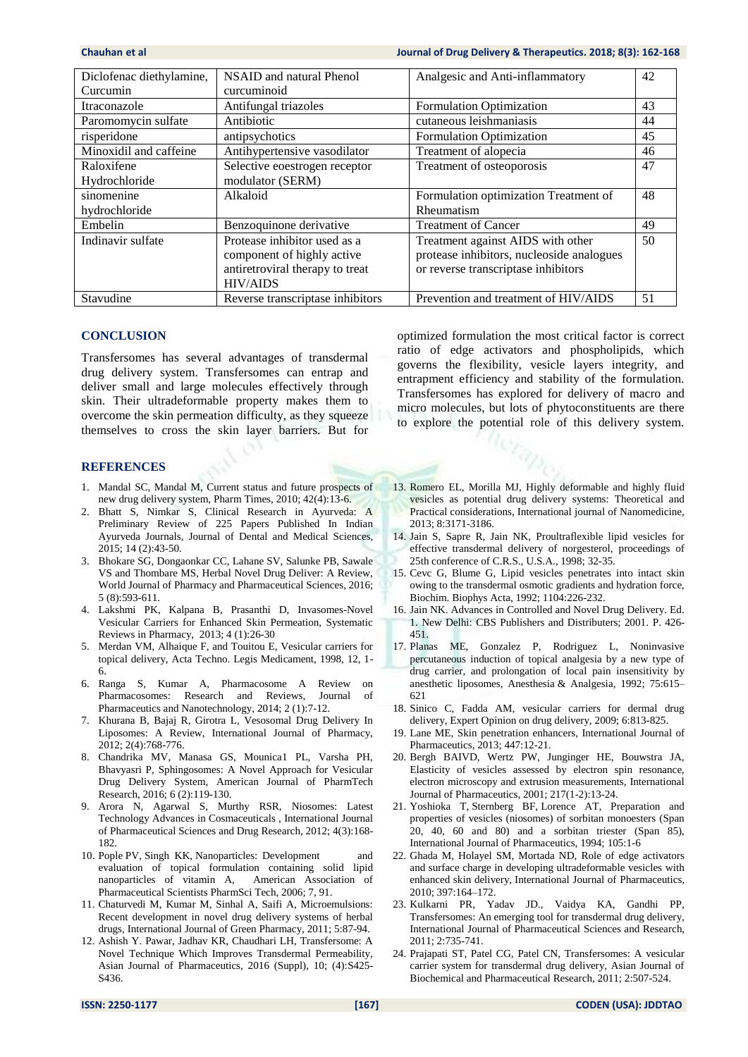| Diclofenac diethylamine, | NSAID and natural Phenol         | Analgesic and Anti-inflammatory           | 42 |
|--------------------------|----------------------------------|-------------------------------------------|----|
| Curcumin                 | curcuminoid                      |                                           |    |
| Itraconazole             | Antifungal triazoles             | Formulation Optimization                  | 43 |
| Paromomycin sulfate      | Antibiotic                       | cutaneous leishmaniasis                   | 44 |
| risperidone              | antipsychotics                   | Formulation Optimization                  | 45 |
| Minoxidil and caffeine   | Antihypertensive vasodilator     | Treatment of alopecia                     | 46 |
| Raloxifene               | Selective eoestrogen receptor    | Treatment of osteoporosis                 | 47 |
| Hydrochloride            | modulator (SERM)                 |                                           |    |
| sinomenine               | Alkaloid                         | Formulation optimization Treatment of     | 48 |
| hydrochloride            |                                  | Rheumatism                                |    |
| Embelin                  | Benzoquinone derivative          | <b>Treatment of Cancer</b>                | 49 |
| Indinavir sulfate        | Protease inhibitor used as a     | Treatment against AIDS with other         | 50 |
|                          | component of highly active       | protease inhibitors, nucleoside analogues |    |
|                          | antiretroviral therapy to treat  | or reverse transcriptase inhibitors       |    |
|                          | <b>HIV/AIDS</b>                  |                                           |    |
| Stavudine                | Reverse transcriptase inhibitors | Prevention and treatment of HIV/AIDS      | 51 |

#### **CONCLUSION**

Transfersomes has several advantages of transdermal drug delivery system. Transfersomes can entrap and deliver small and large molecules effectively through skin. Their ultradeformable property makes them to overcome the skin permeation difficulty, as they squeeze themselves to cross the skin layer barriers. But for

#### **REFERENCES**

- 1. Mandal SC, Mandal M, Current status and future prospects of new drug delivery system, Pharm Times, 2010; 42(4):13-6.
- 2. Bhatt S, Nimkar S, Clinical Research in Ayurveda: A Preliminary Review of 225 Papers Published In Indian Ayurveda Journals, Journal of Dental and Medical Sciences, 2015; 14 (2):43-50.
- 3. Bhokare SG, Dongaonkar CC, Lahane SV, Salunke PB, Sawale VS and Thombare MS, Herbal Novel Drug Deliver: A Review, World Journal of Pharmacy and Pharmaceutical Sciences, 2016; 5 (8):593-611.
- 4. Lakshmi PK, Kalpana B, Prasanthi D, Invasomes-Novel Vesicular Carriers for Enhanced Skin Permeation, Systematic Reviews in Pharmacy, 2013; 4 (1):26-30
- 5. Merdan VM, Alhaique F, and Touitou E, Vesicular carriers for topical delivery, Acta Techno. Legis Medicament, 1998, 12, 1- 6.
- 6. Ranga S, Kumar A, Pharmacosome A Review on Pharmacosomes: Research and Reviews, Journal of Pharmaceutics and Nanotechnology, 2014; 2 (1):7-12.
- 7. Khurana B, Bajaj R, Girotra L, Vesosomal Drug Delivery In Liposomes: A Review, International Journal of Pharmacy, 2012; 2(4):768-776.
- 8. Chandrika MV, Manasa GS, Mounica1 PL, Varsha PH, Bhavyasri P, Sphingosomes: A Novel Approach for Vesicular Drug Delivery System, American Journal of PharmTech Research, 2016; 6 (2):119-130.
- 9. Arora N, Agarwal S, Murthy RSR, Niosomes: Latest Technology Advances in Cosmaceuticals , International Journal of Pharmaceutical Sciences and Drug Research, 2012; 4(3):168- 182.
- 10. Pople PV, Singh KK, Nanoparticles: Development and evaluation of topical formulation containing solid lipid nanoparticles of vitamin A, American Association of Pharmaceutical Scientists PharmSci Tech, 2006; 7, 91.
- 11. Chaturvedi M, Kumar M, Sinhal A, Saifi A, Microemulsions: Recent development in novel drug delivery systems of herbal drugs, International Journal of Green Pharmacy, 2011; 5:87-94.
- 12. Ashish Y. Pawar, Jadhav KR, Chaudhari LH, Transfersome: A Novel Technique Which Improves Transdermal Permeability, Asian Journal of Pharmaceutics, 2016 (Suppl), 10; (4):S425- S436.

optimized formulation the most critical factor is correct ratio of edge activators and phospholipids, which governs the flexibility, vesicle layers integrity, and entrapment efficiency and stability of the formulation. Transfersomes has explored for delivery of macro and micro molecules, but lots of phytoconstituents are there to explore the potential role of this delivery system.

- 13. Romero EL, Morilla MJ, Highly deformable and highly fluid vesicles as potential drug delivery systems: Theoretical and Practical considerations, International journal of Nanomedicine, 2013; 8:3171-3186.
- 14. Jain S, Sapre R, Jain NK, Proultraflexible lipid vesicles for effective transdermal delivery of norgesterol, proceedings of 25th conference of C.R.S., U.S.A., 1998; 32-35.
- 15. Cevc G, Blume G, Lipid vesicles penetrates into intact skin owing to the transdermal osmotic gradients and hydration force, Biochim. Biophys Acta, 1992; 1104:226-232.
- 16. Jain NK. Advances in Controlled and Novel Drug Delivery. Ed. 1. New Delhi: CBS Publishers and Distributers; 2001. P. 426- 451.
- 17. Planas ME, Gonzalez P, Rodriguez L, Noninvasive percutaneous induction of topical analgesia by a new type of drug carrier, and prolongation of local pain insensitivity by anesthetic liposomes, Anesthesia & Analgesia, 1992; 75:615– 621
- 18. Sinico C, Fadda AM, vesicular carriers for dermal drug delivery, Expert Opinion on drug delivery, 2009; 6:813-825.
- 19. Lane ME, Skin penetration enhancers, International Journal of Pharmaceutics, 2013; 447:12-21.
- 20. Bergh BAIVD, Wertz PW, Junginger HE, Bouwstra JA, Elasticity of vesicles assessed by electron spin resonance, electron microscopy and extrusion measurements, International Journal of Pharmaceutics, 2001; 217(1-2):13-24.
- 21. Yoshioka T, Sternberg BF, Lorence AT, Preparation and properties of vesicles (niosomes) of sorbitan monoesters (Span 20, 40, 60 and 80) and a sorbitan triester (Span 85), International Journal of Pharmaceutics, 1994; 105:1-6
- 22. Ghada M, Holayel SM, Mortada ND, Role of edge activators and surface charge in developing ultradeformable vesicles with enhanced skin delivery, International Journal of Pharmaceutics, 2010; 397:164–172.
- 23. Kulkarni PR, Yadav JD., Vaidya KA, Gandhi PP, Transfersomes: An emerging tool for transdermal drug delivery, International Journal of Pharmaceutical Sciences and Research, 2011; 2:735-741.
- 24. Prajapati ST, Patel CG, Patel CN, Transfersomes: A vesicular carrier system for transdermal drug delivery, Asian Journal of Biochemical and Pharmaceutical Research, 2011; 2:507-524.